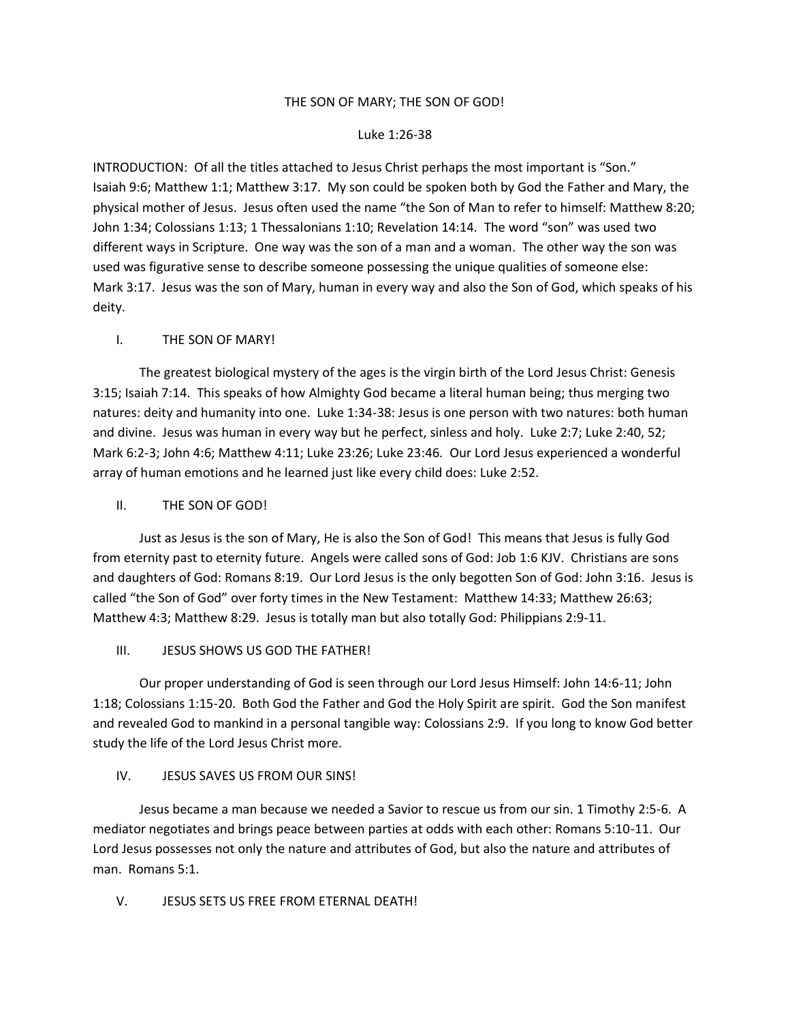#### THE SON OF MARY; THE SON OF GOD!

#### Luke 1:26-38

INTRODUCTION: Of all the titles attached to Jesus Christ perhaps the most important is "Son." Isaiah 9:6; Matthew 1:1; Matthew 3:17. My son could be spoken both by God the Father and Mary, the physical mother of Jesus. Jesus often used the name "the Son of Man to refer to himself: Matthew 8:20; John 1:34; Colossians 1:13; 1 Thessalonians 1:10; Revelation 14:14. The word "son" was used two different ways in Scripture. One way was the son of a man and a woman. The other way the son was used was figurative sense to describe someone possessing the unique qualities of someone else: Mark 3:17. Jesus was the son of Mary, human in every way and also the Son of God, which speaks of his deity.

# I. THE SON OF MARY!

The greatest biological mystery of the ages is the virgin birth of the Lord Jesus Christ: Genesis 3:15; Isaiah 7:14. This speaks of how Almighty God became a literal human being; thus merging two natures: deity and humanity into one. Luke 1:34-38: Jesus is one person with two natures: both human and divine. Jesus was human in every way but he perfect, sinless and holy. Luke 2:7; Luke 2:40, 52; Mark 6:2-3; John 4:6; Matthew 4:11; Luke 23:26; Luke 23:46. Our Lord Jesus experienced a wonderful array of human emotions and he learned just like every child does: Luke 2:52.

### II. THE SON OF GOD!

Just as Jesus is the son of Mary, He is also the Son of God! This means that Jesus is fully God from eternity past to eternity future. Angels were called sons of God: Job 1:6 KJV. Christians are sons and daughters of God: Romans 8:19. Our Lord Jesus is the only begotten Son of God: John 3:16. Jesus is called "the Son of God" over forty times in the New Testament: Matthew 14:33; Matthew 26:63; Matthew 4:3; Matthew 8:29. Jesus is totally man but also totally God: Philippians 2:9-11.

# III. JESUS SHOWS US GOD THE FATHER!

Our proper understanding of God is seen through our Lord Jesus Himself: John 14:6-11; John 1:18; Colossians 1:15-20. Both God the Father and God the Holy Spirit are spirit. God the Son manifest and revealed God to mankind in a personal tangible way: Colossians 2:9. If you long to know God better study the life of the Lord Jesus Christ more.

# IV. JESUS SAVES US FROM OUR SINS!

Jesus became a man because we needed a Savior to rescue us from our sin. 1 Timothy 2:5-6. A mediator negotiates and brings peace between parties at odds with each other: Romans 5:10-11. Our Lord Jesus possesses not only the nature and attributes of God, but also the nature and attributes of man. Romans 5:1.

# V. JESUS SETS US FREE FROM ETERNAL DEATH!